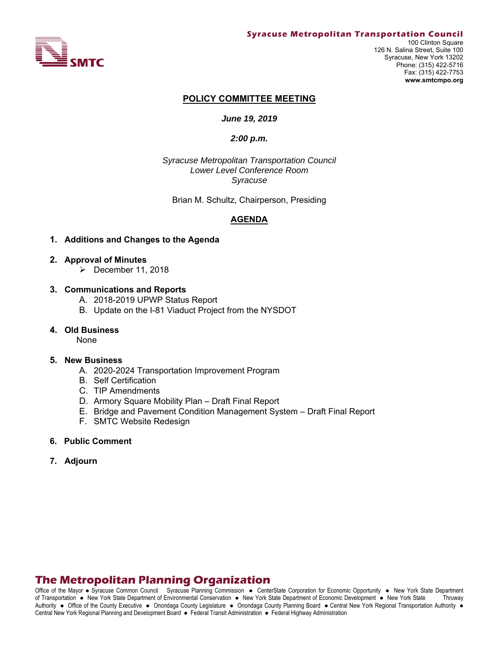

#### **Syracuse Metropolitan Transportation Council**

100 Clinton Square 126 N. Salina Street, Suite 100 Syracuse, New York 13202 Phone: (315) 422-5716 Fax: (315) 422-7753 **www.smtcmpo.org**

#### **POLICY COMMITTEE MEETING**

#### *June 19, 2019*

#### *2:00 p.m.*

*Syracuse Metropolitan Transportation Council Lower Level Conference Room Syracuse* 

Brian M. Schultz, Chairperson, Presiding

#### **AGENDA**

#### **1. Additions and Changes to the Agenda**

- **2. Approval of Minutes** 
	- $\triangleright$  December 11, 2018

#### **3. Communications and Reports**

- A. 2018-2019 UPWP Status Report
- B. Update on the I-81 Viaduct Project from the NYSDOT

#### **4. Old Business**

None

#### **5. New Business**

- A. 2020-2024 Transportation Improvement Program
- B. Self Certification
- C. TIP Amendments
- D. Armory Square Mobility Plan Draft Final Report
- E. Bridge and Pavement Condition Management System Draft Final Report
- F. SMTC Website Redesign
- **6. Public Comment**
- **7. Adjourn**

# **The Metropolitan Planning Organization**

Office of the Mayor • Syracuse Common Council Syracuse Planning Commission • CenterState Corporation for Economic Opportunity • New York State Department of Transportation New York State Department of Environmental Conservation New York State Department of Economic Development New York State Thruway Authority . Office of the County Executive . Onondaga County Legislature . Onondaga County Planning Board . Central New York Regional Transportation Authority . Central New York Regional Planning and Development Board · Federal Transit Administration · Federal Highway Administration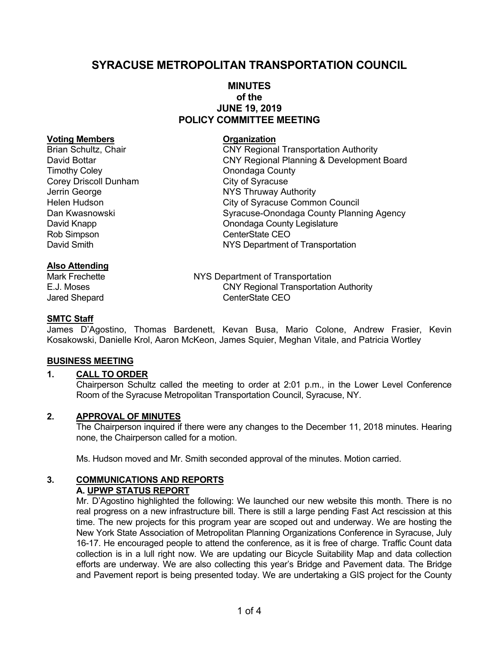# **SYRACUSE METROPOLITAN TRANSPORTATION COUNCIL**

### **MINUTES of the JUNE 19, 2019 POLICY COMMITTEE MEETING**

#### **Voting Members Construction Construction Construction**

Timothy Coley<br>
Corey Driscoll Dunham<br>
City of Syracuse Corey Driscoll Dunham Jerrin George **NYS Thruway Authority**<br>
Helen Hudson **NOTE:** City of Syracuse Comme Rob Simpson **CenterState CEO** 

### **Also Attending**

Brian Schultz, Chair **CNY Regional Transportation Authority** David Bottar CNY Regional Planning & Development Board City of Syracuse Common Council Dan Kwasnowski Syracuse-Onondaga County Planning Agency David Knapp **David Knapp County Legislature Onondaga County Legislature** David Smith **NYS Department of Transportation** 

Mark Frechette **NYS Department of Transportation** E.J. Moses CNY Regional Transportation Authority Jared Shepard CenterState CEO

### **SMTC Staff**

James D'Agostino, Thomas Bardenett, Kevan Busa, Mario Colone, Andrew Frasier, Kevin Kosakowski, Danielle Krol, Aaron McKeon, James Squier, Meghan Vitale, and Patricia Wortley

#### **BUSINESS MEETING**

### **1. CALL TO ORDER**

Chairperson Schultz called the meeting to order at 2:01 p.m., in the Lower Level Conference Room of the Syracuse Metropolitan Transportation Council, Syracuse, NY.

#### **2. APPROVAL OF MINUTES**

The Chairperson inquired if there were any changes to the December 11, 2018 minutes. Hearing none, the Chairperson called for a motion.

Ms. Hudson moved and Mr. Smith seconded approval of the minutes. Motion carried.

#### **3. COMMUNICATIONS AND REPORTS A. UPWP STATUS REPORT**

Mr. D'Agostino highlighted the following: We launched our new website this month. There is no real progress on a new infrastructure bill. There is still a large pending Fast Act rescission at this time. The new projects for this program year are scoped out and underway. We are hosting the New York State Association of Metropolitan Planning Organizations Conference in Syracuse, July 16-17. He encouraged people to attend the conference, as it is free of charge. Traffic Count data collection is in a lull right now. We are updating our Bicycle Suitability Map and data collection efforts are underway. We are also collecting this year's Bridge and Pavement data. The Bridge and Pavement report is being presented today. We are undertaking a GIS project for the County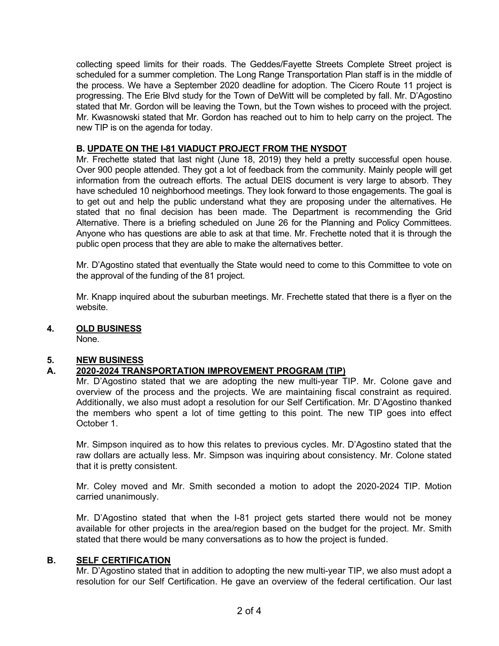collecting speed limits for their roads. The Geddes/Fayette Streets Complete Street project is scheduled for a summer completion. The Long Range Transportation Plan staff is in the middle of the process. We have a September 2020 deadline for adoption. The Cicero Route 11 project is progressing. The Erie Blvd study for the Town of DeWitt will be completed by fall. Mr. D'Agostino stated that Mr. Gordon will be leaving the Town, but the Town wishes to proceed with the project. Mr. Kwasnowski stated that Mr. Gordon has reached out to him to help carry on the project. The new TIP is on the agenda for today.

### **B. UPDATE ON THE I-81 VIADUCT PROJECT FROM THE NYSDOT**

Mr. Frechette stated that last night (June 18, 2019) they held a pretty successful open house. Over 900 people attended. They got a lot of feedback from the community. Mainly people will get information from the outreach efforts. The actual DEIS document is very large to absorb. They have scheduled 10 neighborhood meetings. They look forward to those engagements. The goal is to get out and help the public understand what they are proposing under the alternatives. He stated that no final decision has been made. The Department is recommending the Grid Alternative. There is a briefing scheduled on June 26 for the Planning and Policy Committees. Anyone who has questions are able to ask at that time. Mr. Frechette noted that it is through the public open process that they are able to make the alternatives better.

Mr. D'Agostino stated that eventually the State would need to come to this Committee to vote on the approval of the funding of the 81 project.

Mr. Knapp inquired about the suburban meetings. Mr. Frechette stated that there is a flyer on the website.

**4. OLD BUSINESS** 

None.

### **5. NEW BUSINESS**

## **A. 2020-2024 TRANSPORTATION IMPROVEMENT PROGRAM (TIP)**

Mr. D'Agostino stated that we are adopting the new multi-year TIP. Mr. Colone gave and overview of the process and the projects. We are maintaining fiscal constraint as required. Additionally, we also must adopt a resolution for our Self Certification. Mr. D'Agostino thanked the members who spent a lot of time getting to this point. The new TIP goes into effect October 1.

Mr. Simpson inquired as to how this relates to previous cycles. Mr. D'Agostino stated that the raw dollars are actually less. Mr. Simpson was inquiring about consistency. Mr. Colone stated that it is pretty consistent.

Mr. Coley moved and Mr. Smith seconded a motion to adopt the 2020-2024 TIP. Motion carried unanimously.

Mr. D'Agostino stated that when the I-81 project gets started there would not be money available for other projects in the area/region based on the budget for the project. Mr. Smith stated that there would be many conversations as to how the project is funded.

### **B. SELF CERTIFICATION**

Mr. D'Agostino stated that in addition to adopting the new multi-year TIP, we also must adopt a resolution for our Self Certification. He gave an overview of the federal certification. Our last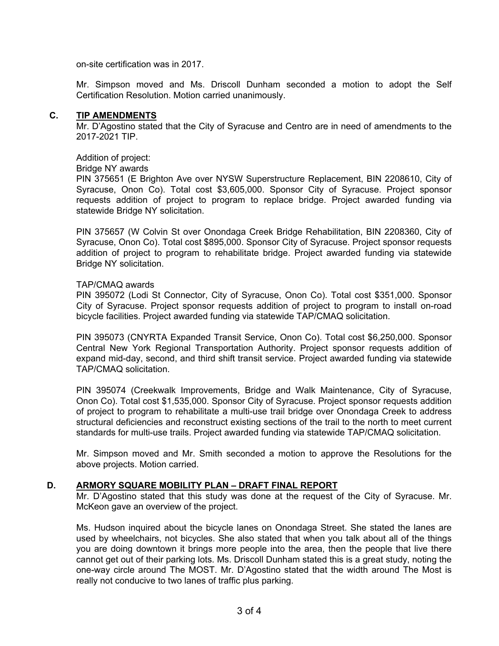on-site certification was in 2017.

Mr. Simpson moved and Ms. Driscoll Dunham seconded a motion to adopt the Self Certification Resolution. Motion carried unanimously.

#### **C. TIP AMENDMENTS**

Mr. D'Agostino stated that the City of Syracuse and Centro are in need of amendments to the 2017-2021 TIP.

Addition of project:

### Bridge NY awards

PIN 375651 (E Brighton Ave over NYSW Superstructure Replacement, BIN 2208610, City of Syracuse, Onon Co). Total cost \$3,605,000. Sponsor City of Syracuse. Project sponsor requests addition of project to program to replace bridge. Project awarded funding via statewide Bridge NY solicitation.

PIN 375657 (W Colvin St over Onondaga Creek Bridge Rehabilitation, BIN 2208360, City of Syracuse, Onon Co). Total cost \$895,000. Sponsor City of Syracuse. Project sponsor requests addition of project to program to rehabilitate bridge. Project awarded funding via statewide Bridge NY solicitation.

#### TAP/CMAQ awards

PIN 395072 (Lodi St Connector, City of Syracuse, Onon Co). Total cost \$351,000. Sponsor City of Syracuse. Project sponsor requests addition of project to program to install on-road bicycle facilities. Project awarded funding via statewide TAP/CMAQ solicitation.

PIN 395073 (CNYRTA Expanded Transit Service, Onon Co). Total cost \$6,250,000. Sponsor Central New York Regional Transportation Authority. Project sponsor requests addition of expand mid-day, second, and third shift transit service. Project awarded funding via statewide TAP/CMAQ solicitation.

PIN 395074 (Creekwalk Improvements, Bridge and Walk Maintenance, City of Syracuse, Onon Co). Total cost \$1,535,000. Sponsor City of Syracuse. Project sponsor requests addition of project to program to rehabilitate a multi-use trail bridge over Onondaga Creek to address structural deficiencies and reconstruct existing sections of the trail to the north to meet current standards for multi-use trails. Project awarded funding via statewide TAP/CMAQ solicitation.

Mr. Simpson moved and Mr. Smith seconded a motion to approve the Resolutions for the above projects. Motion carried.

### **D. ARMORY SQUARE MOBILITY PLAN – DRAFT FINAL REPORT**

Mr. D'Agostino stated that this study was done at the request of the City of Syracuse. Mr. McKeon gave an overview of the project.

Ms. Hudson inquired about the bicycle lanes on Onondaga Street. She stated the lanes are used by wheelchairs, not bicycles. She also stated that when you talk about all of the things you are doing downtown it brings more people into the area, then the people that live there cannot get out of their parking lots. Ms. Driscoll Dunham stated this is a great study, noting the one-way circle around The MOST. Mr. D'Agostino stated that the width around The Most is really not conducive to two lanes of traffic plus parking.